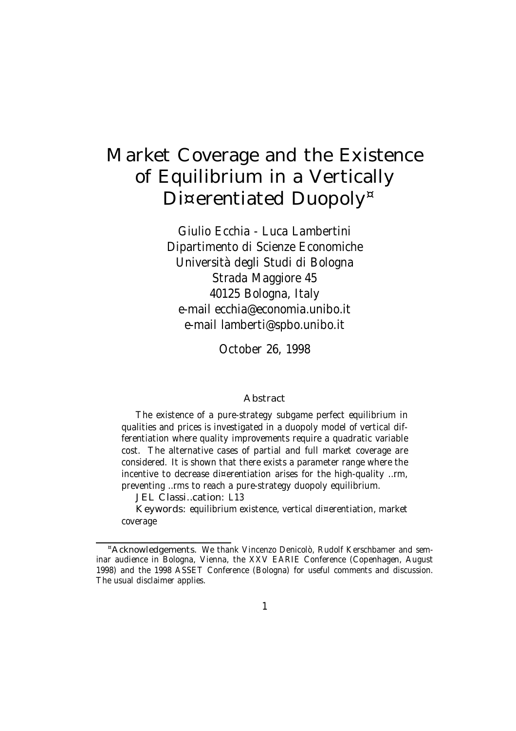# Market Coverage and the Existence of Equilibrium in a Vertically Di¤erentiated Duopoly<sup>¤</sup>

Giulio Ecchia - Luca Lambertini Dipartimento di Scienze Economiche Università degli Studi di Bologna Strada Maggiore 45 40125 Bologna, Italy e-mail ecchia@economia.unibo.it e-mail lamberti@spbo.unibo.it

October 26, 1998

#### **Abstract**

The existence of a pure-strategy subgame perfect equilibrium in qualities and prices is investigated in a duopoly model of vertical differentiation where quality improvements require a quadratic variable cost. The alternative cases of partial and full market coverage are considered. It is shown that there exists a parameter range where the incentive to decrease di¤erentiation arises for the high-quality …rm, preventing …rms to reach a pure-strategy duopoly equilibrium.

JEL Classi…cation: L13

Keywords: equilibrium existence, vertical di¤erentiation, market coverage

<sup>¤</sup>Acknowledgements. We thank Vincenzo Denicolò, Rudolf Kerschbamer and seminar audience in Bologna, Vienna, the XXV EARIE Conference (Copenhagen, August 1998) and the 1998 ASSET Conference (Bologna) for useful comments and discussion. The usual disclaimer applies.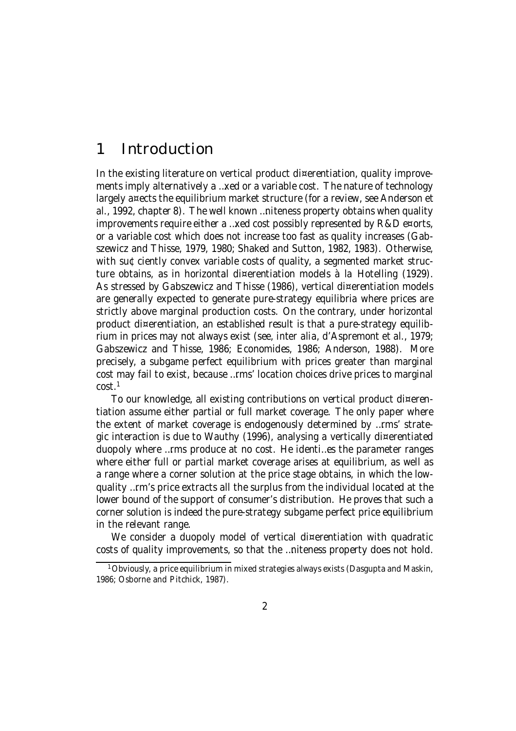# 1 Introduction

In the existing literature on vertical product di¤erentiation, quality improvements imply alternatively a …xed or a variable cost. The nature of technology largely a¤ects the equilibrium market structure (for a review, see Anderson et al., 1992, chapter 8). The well known …niteness property obtains when quality improvements require either a …xed cost possibly represented by R&D e¤orts, or a variable cost which does not increase too fast as quality increases (Gabszewicz and Thisse, 1979, 1980; Shaked and Sutton, 1982, 1983). Otherwise, with su¢ciently convex variable costs of quality, a segmented market structure obtains, as in horizontal di¤erentiation models à la Hotelling (1929). As stressed by Gabszewicz and Thisse (1986), vertical di¤erentiation models are generally expected to generate pure-strategy equilibria where prices are strictly above marginal production costs. On the contrary, under horizontal product di¤erentiation, an established result is that a pure-strategy equilibrium in prices may not always exist (see, inter alia, d'Aspremont et al., 1979; Gabszewicz and Thisse, 1986; Economides, 1986; Anderson, 1988). More precisely, a subgame perfect equilibrium with prices greater than marginal cost may fail to exist, because …rms' location choices drive prices to marginal cost. 1

To our knowledge, all existing contributions on vertical product di¤erentiation assume either partial or full market coverage. The only paper where the extent of market coverage is endogenously determined by …rms' strategic interaction is due to Wauthy (1996), analysing a vertically di¤erentiated duopoly where …rms produce at no cost. He identi…es the parameter ranges where either full or partial market coverage arises at equilibrium, as well as a range where a corner solution at the price stage obtains, in which the lowquality …rm's price extracts all the surplus from the individual located at the lower bound of the support of consumer's distribution. He proves that such a corner solution is indeed the pure-strategy subgame perfect price equilibrium in the relevant range.

We consider a duopoly model of vertical di¤erentiation with quadratic costs of quality improvements, so that the …niteness property does not hold.

 $^{\text{1}}$ Obviously, a price equilibrium in mixed strategies always exists (Dasgupta and Maskin, 1986; Osborne and Pitchick, 1987).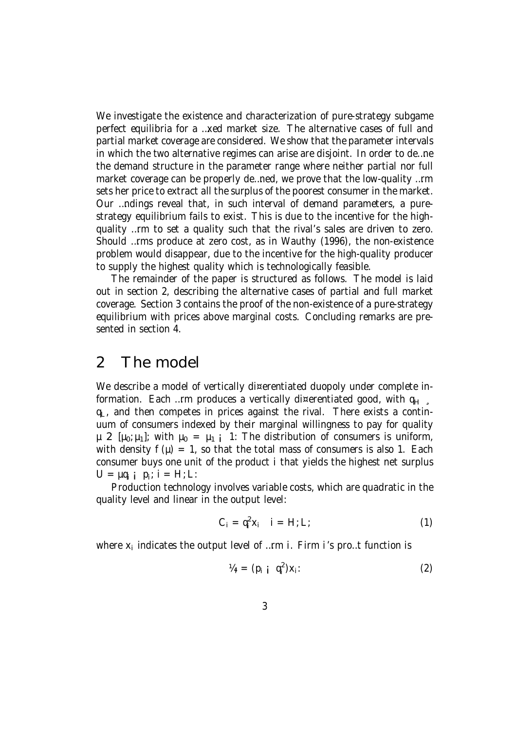We investigate the existence and characterization of pure-strategy subgame perfect equilibria for a …xed market size. The alternative cases of full and partial market coverage are considered. We show that the parameter intervals in which the two alternative regimes can arise are disjoint. In order to de…ne the demand structure in the parameter range where neither partial nor full market coverage can be properly de…ned, we prove that the low-quality …rm sets her price to extract all the surplus of the poorest consumer in the market. Our …ndings reveal that, in such interval of demand parameters, a purestrategy equilibrium fails to exist. This is due to the incentive for the highquality …rm to set a quality such that the rival's sales are driven to zero. Should …rms produce at zero cost, as in Wauthy (1996), the non-existence problem would disappear, due to the incentive for the high-quality producer to supply the highest quality which is technologically feasible.

The remainder of the paper is structured as follows. The model is laid out in section 2, describing the alternative cases of partial and full market coverage. Section 3 contains the proof of the non-existence of a pure-strategy equilibrium with prices above marginal costs. Concluding remarks are presented in section 4.

### 2 The model

We describe a model of vertically di¤erentiated duopoly under complete information. Each …rm produces a vertically di¤erentiated good, with  $q_H$  $q_L$ , and then competes in prices against the rival. There exists a continuum of consumers indexed by their marginal willingness to pay for quality  $\mu$  2 [ $\mu_0$ ;  $\mu_1$ ]; with  $\mu_0 = \mu_1$  i 1: The distribution of consumers is uniform, with density  $f(\mu) = 1$ , so that the total mass of consumers is also 1. Each consumer buys one unit of the product i that yields the highest net surplus  $U = \mu q_i$  j  $p_i$ ; i = H; L:

Production technology involves variable costs, which are quadratic in the quality level and linear in the output level:

$$
C_i = q_i^2 x_i \quad i = H; L; \tag{1}
$$

where  $\mathsf{x}_\mathsf{i}$  indicates the output level of …rm i. Firm i's pro…t function is

$$
\mathcal{V}_{ij} = (p_{i \, j} \, q_i^2) x_i \tag{2}
$$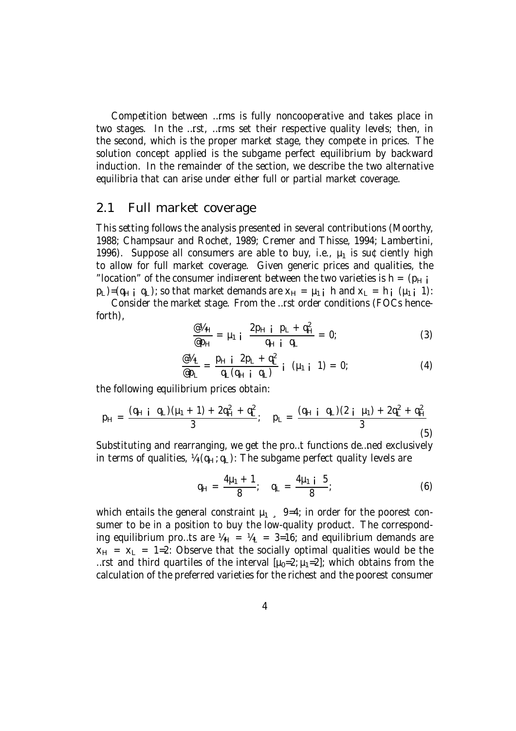Competition between …rms is fully noncooperative and takes place in two stages. In the …rst, …rms set their respective quality levels; then, in the second, which is the proper market stage, they compete in prices. The solution concept applied is the subgame perfect equilibrium by backward induction. In the remainder of the section, we describe the two alternative equilibria that can arise under either full or partial market coverage.

#### 2.1 Full market coverage

This setting follows the analysis presented in several contributions (Moorthy, 1988; Champsaur and Rochet, 1989; Cremer and Thisse, 1994; Lambertini, 1996). Suppose all consumers are able to buy, i.e.,  $\mu_1$  is su¢ciently high to allow for full market coverage. Given generic prices and qualities, the "location" of the consumer indi¤erent between the two varieties is  $h = (p_H i$  $p_1$ )=( $q_H$  ;  $q_1$ ); so that market demands are  $x_H = \mu_{1,i}$  h and  $x_1 = h_i$  ( $\mu_{1,i}$  1):

Consider the market stage. From the …rst order conditions (FOCs henceforth),

$$
\frac{\omega_{H}}{\omega_{H}} = \mu_1 i \frac{2p_{H} i p_{L} + q_{H}^2}{q_{H} i q_{L}} = 0;
$$
 (3)

$$
\frac{\omega_{\mu_{L}}}{\omega_{p_{L}}} = \frac{p_{H i} \ 2p_{L} + q_{L}^{2}}{q_{L}(q_{H i} \ q_{L})} \ i \ (\mu_{1 i} \ 1) = 0; \qquad (4)
$$

the following equilibrium prices obtain:

$$
p_{H} = \frac{(q_{H} i q_{L})(\mu_{1} + 1) + 2q_{H}^{2} + q_{L}^{2}}{3}; \quad p_{L} = \frac{(q_{H} i q_{L})(2 i \mu_{1}) + 2q_{L}^{2} + q_{H}^{2}}{3}
$$
(5)

Substituting and rearranging, we get the pro…t functions de…ned exclusively in terms of qualities,  $\frac{1}{4}$  ( $q_H$ ;  $q_L$ ): The subgame perfect quality levels are

$$
q_{H} = \frac{4\mu_{1} + 1}{8}; \quad q_{L} = \frac{4\mu_{1} + 5}{8}; \tag{6}
$$

which entails the general constraint  $\mu_1$ , 9=4; in order for the poorest consumer to be in a position to buy the low-quality product. The corresponding equilibrium pro…ts are  $\frac{1}{H} = \frac{1}{4} = 3=16$ ; and equilibrium demands are  $x_H = x_L = 1$ =2: Observe that the socially optimal qualities would be the ...rst and third quartiles of the interval  $[\mu_0=2;\mu_1=2]$ ; which obtains from the calculation of the preferred varieties for the richest and the poorest consumer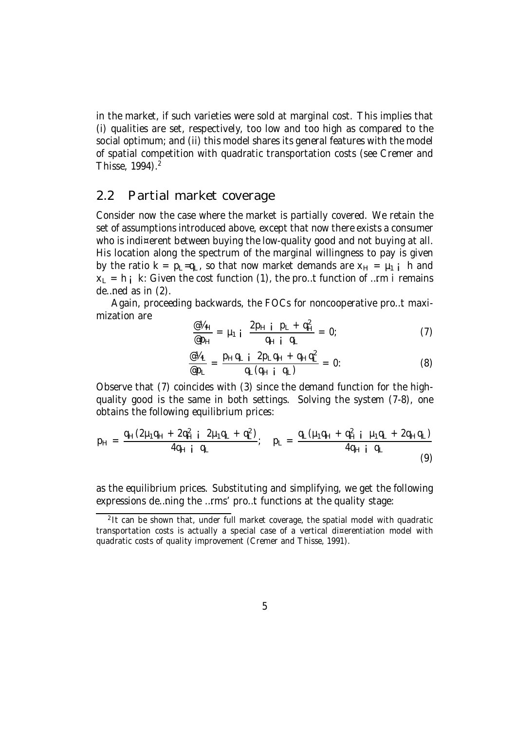in the market, if such varieties were sold at marginal cost. This implies that (i) qualities are set, respectively, too low and too high as compared to the social optimum; and (ii) this model shares its general features with the model of spatial competition with quadratic transportation costs (see Cremer and Thisse, 1994). 2

#### 2.2 Partial market coverage

Consider now the case where the market is partially covered. We retain the set of assumptions introduced above, except that now there exists a consumer who is indi¤erent between buying the low-quality good and not buying at all. His location along the spectrum of the marginal willingness to pay is given by the ratio  $k = p_L = q_L$ , so that now market demands are  $x_H = \mu_1$  i h and  $x_1 = h_i$  k: Given the cost function (1), the pro…t function of …rm i remains de…ned as in (2).

Again, proceeding backwards, the FOCs for noncooperative pro…t maximization are

$$
\frac{\omega \gamma_{H}}{\omega_{H}} = \mu_1 \, \, \text{i} \, \frac{2p_{H} \, \, \text{i} \, p_{L} + q_{H}^2}{q_{H} \, \, \text{i} \, q_{L}} = 0; \tag{7}
$$

$$
\frac{\omega_{4L}}{\omega_{PL}} = \frac{p_H q_L i \ 2p_L q_H + q_H q_L^2}{q_L (q_H i \ q_L)} = 0: \tag{8}
$$

Observe that (7) coincides with (3) since the demand function for the highquality good is the same in both settings. Solving the system (7-8), one obtains the following equilibrium prices:

$$
p_{H} = \frac{q_{H}(2\mu_{1}q_{H} + 2q_{H}^{2} \mathbf{i} \ 2\mu_{1}q_{L} + q_{L}^{2})}{4q_{H} \mathbf{i} \ q_{L}}
$$
\n
$$
p_{L} = \frac{q_{L}(\mu_{1}q_{H} + q_{H}^{2} \mathbf{i} \ \mu_{1}q_{L} + 2q_{H}q_{L})}{4q_{H} \mathbf{i} \ q_{L}}
$$
\n(9)

as the equilibrium prices. Substituting and simplifying, we get the following expressions de…ning the …rms' pro…t functions at the quality stage:

<sup>&</sup>lt;sup>2</sup>It can be shown that, under full market coverage, the spatial model with quadratic transportation costs is actually a special case of a vertical di¤erentiation model with quadratic costs of quality improvement (Cremer and Thisse, 1991).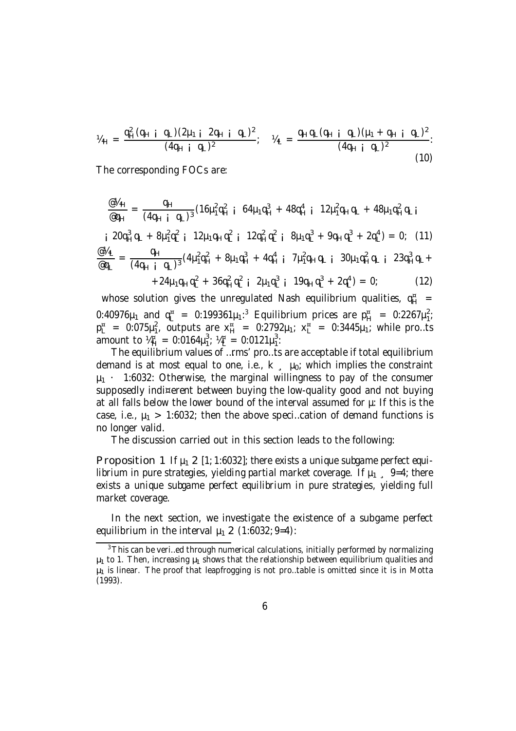$$
V_{4H} = \frac{q_{H}^{2}(q_{H} i q_{L})(2\mu_{1} i 2q_{H} i q_{L})^{2}}{(4q_{H} i q_{L})^{2}}; \quad V_{4L} = \frac{q_{H}q_{L}(q_{H} i q_{L})(\mu_{1} + q_{H} i q_{L})^{2}}{(4q_{H} i q_{L})^{2}}.
$$
\n(10)

The corresponding FOCs are:

$$
\frac{\omega_{4H}}{\omega_{qH}} = \frac{q_H}{(4q_H i q_L)^3} (16\mu_1^2 q_H^2 i 64\mu_1 q_H^3 + 48q_H^4 i 12\mu_1^2 q_H q_L + 48\mu_1 q_H^2 q_L i
$$
\n
$$
i 20q_H^3 q_L + 8\mu_1^2 q_L^2 i 12\mu_1 q_H q_L^2 i 12q_H^2 q_L^2 i 8\mu_1 q_L^3 + 9q_H q_L^3 + 2q_L^4) = 0; \quad (11)
$$
\n
$$
\frac{\omega_{4L}}{\omega q_L} = \frac{q_H}{(4q_H i q_L)^3} (4\mu_1^2 q_H^2 + 8\mu_1 q_H^3 + 4q_H^4 i 7\mu_1^2 q_H q_L i 30\mu_1 q_H^2 q_L i 23q_H^3 q_L + 24\mu_1 q_H q_L^2 + 36q_H^2 q_L^2 i 2\mu_1 q_L^3 i 19q_H q_L^3 + 2q_L^4) = 0; \quad (12)
$$

whose solution gives the unregulated Nash equilibrium qualities,  $\mathfrak{q}_H^*$  = 0:40976μ<sub>1</sub> and  $q_L^{\pi}$  = 0:199361μ<sub>1</sub>:<sup>3</sup> Equilibrium prices are  $p_H^{\pi}$  = 0:2267μ<sub>1</sub> ے ۔<br>1  $p_L^{\alpha} = 0.075 \mu_1^2$  $_1^2$ , outputs are  $x_{H}^{a}$  = 0:2792μ<sub>1</sub>;  $x_{L}^{a}$  = 0:3445μ<sub>1</sub>; while pro...ts amount to  $\frac{1}{4}$  = 0:0164 $\mu_1^3$  $\frac{3}{1}$ ;  $\frac{1}{4}$  = 0:0121 $\mu_1^3$ 1 :

The equilibrium values of …rms' pro…ts are acceptable if total equilibrium demand is at most equal to one, i.e.,  $k = \mu_0$ ; which implies the constraint  $\mu_1$  · 1:6032: Otherwise, the marginal willingness to pay of the consumer supposedly indi¤erent between buying the low-quality good and not buying at all falls below the lower bound of the interval assumed for  $\mu$ : If this is the case, i.e.,  $\mu_1$  > 1:6032; then the above speci...cation of demand functions is no longer valid.

The discussion carried out in this section leads to the following:

Proposition 1 If  $\mu_1$  2 [1; 1:6032]; there exists a unique subgame perfect equilibrium in pure strategies, yielding partial market coverage. If  $\mu_1$  , 9=4; there exists a unique subgame perfect equilibrium in pure strategies, yielding full market coverage.

In the next section, we investigate the existence of a subgame perfect equilibrium in the interval  $\mu_1$  2 (1:6032; 9=4):

<sup>&</sup>lt;sup>3</sup>This can be veri...ed through numerical calculations, initially performed by normalizing  $\mu_1$  to 1. Then, increasing  $\mu_1$  shows that the relationship between equilibrium qualities and  $\mu_1$  is linear. The proof that leapfrogging is not pro...table is omitted since it is in Motta (1993).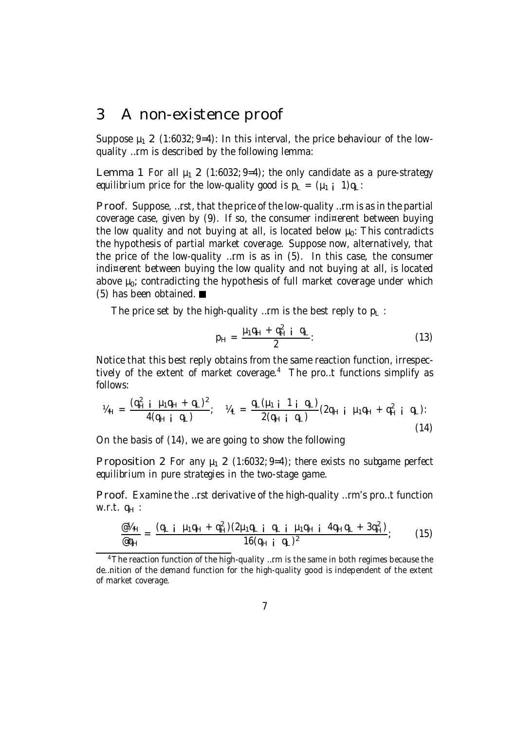### 3 A non-existence proof

Suppose  $\mu_1$  2 (1:6032; 9=4): In this interval, the price behaviour of the lowquality …rm is described by the following lemma:

Lemma 1 For all  $\mu_1$  2 (1:6032; 9=4); the only candidate as a pure-strategy equilibrium price for the low-quality good is  $p_1 = (\mu_1 + 1)q_1$ :

Proof. Suppose, …rst, that the price of the low-quality …rm is as in the partial coverage case, given by (9). If so, the consumer indi¤erent between buying the low quality and not buying at all, is located below  $\mu_0$ : This contradicts the hypothesis of partial market coverage. Suppose now, alternatively, that the price of the low-quality …rm is as in (5). In this case, the consumer indi¤erent between buying the low quality and not buying at all, is located above  $\mu_0$ ; contradicting the hypothesis of full market coverage under which (5) has been obtained.

The price set by the high-quality ... rm is the best reply to  $p_1$ :

$$
p_H = \frac{\mu_1 q_H + q_H^2 i q_L}{2}
$$
 (13)

Notice that this best reply obtains from the same reaction function, irrespectively of the extent of market coverage. <sup>4</sup> The pro…t functions simplify as follows:

$$
V_{4H} = \frac{(q_H^2 i \mu_1 q_H + q_L)^2}{4(q_H i q_L)}; \quad V_{4L} = \frac{q_L(\mu_1 i \ 1 i \ q_L)}{2(q_H i \ q_L)} (2q_H i \ \mu_1 q_H + q_H^2 i \ q_L): \tag{14}
$$

On the basis of (14), we are going to show the following

Proposition 2 For any  $\mu_1$  2 (1:6032; 9=4); there exists no subgame perfect equilibrium in pure strategies in the two-stage game.

Proof. Examine the …rst derivative of the high-quality …rm's pro…t function w.r.t.  $q_H$  :

$$
\frac{\omega_{4H}}{\omega_{4H}} = \frac{(q_{L i} \mu_{1} q_{H} + q_{H}^{2})(2\mu_{1} q_{L i} q_{L i} \mu_{1} q_{H i} 4q_{H} q_{L} + 3q_{H}^{2})}{16(q_{H i} q_{L})^{2}}; \qquad (15)
$$

<sup>&</sup>lt;sup>4</sup>The reaction function of the high-quality ...rm is the same in both regimes because the de…nition of the demand function for the high-quality good is independent of the extent of market coverage.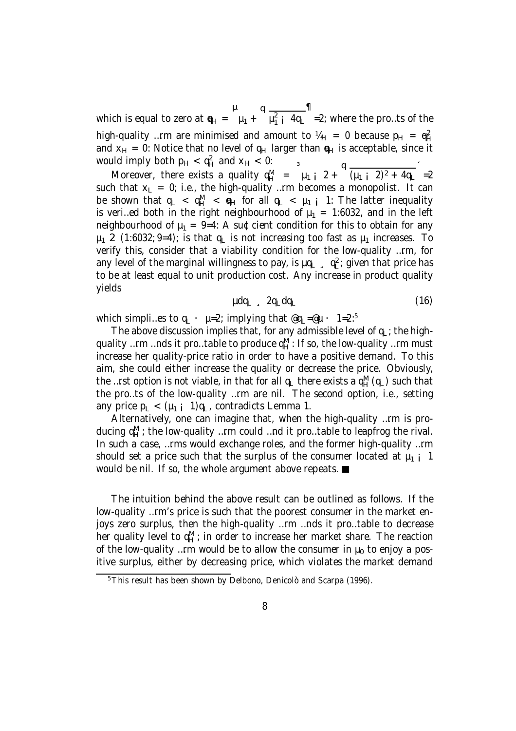which is equal to zero at  $\mathbf{e}_{H} = \begin{bmatrix} 1 + 14 & 44 \\ 1 + 14 & 14 \end{bmatrix}$  =2; where the pro…ts of the high-quality …rm are minimised and amount to  $\mu_H = 0$  because  $p_H = q_H^2$ and  $x_H = 0$ : Notice that no level of  $q_H$  larger than  $q_H$  is acceptable, since it would imply both  $p_H < q_H^2$  and  $x_H < 0$ :  $\overline{3}$ 

Moreover, there exists a quality  $q_H^M = \mu_1 i^2 + \frac{q_H^2}{(\mu_1 i^2)^2 + 4q_H^2} = 2$ such that  $x_L = 0$ ; i.e., the high-quality ... rm becomes a monopolist. It can be shown that  $q_L < q_H^M < q_H$  for all  $q_L < \mu_1$  i 1: The latter inequality is veri…ed both in the right neighbourhood of  $\mu_1 = 1:6032$ , and in the left neighbourhood of  $\mu_1 = 9=4$ : A su¢cient condition for this to obtain for any  $\mu_1$  2 (1:6032; 9=4); is that q<sub>L</sub> is not increasing too fast as  $\mu_1$  increases. To verify this, consider that a viability condition for the low-quality …rm, for any level of the marginal willingness to pay, is  $\mu q_L$ ,  $q_L^2$ ; given that price has to be at least equal to unit production cost. Any increase in product quality yields

$$
\mu dq_{L} \quad \ \ 2q_{L} dq_{L} \tag{16}
$$

which simpli…es to  $q_L \cdot p=2$ ; implying that  $@q_L=@ \mu \cdot 1=2.^5$ 

The above discussion implies that, for any admissible level of  $q_L$ ; the highquality …rm …nds it pro…table to produce  $\mathfrak{q}_H^\mathsf{M}$ : If so, the low-quality …rm must increase her quality-price ratio in order to have a positive demand. To this aim, she could either increase the quality or decrease the price. Obviously, the …rst option is not viable, in that for all  $q_L$  there exists a  $q_H^M(q_L)$  such that the pro…ts of the low-quality …rm are nil. The second option, i.e., setting any price  $p_L < (\mu_1 \text{ i } 1)q_L$ , contradicts Lemma 1.

Alternatively, one can imagine that, when the high-quality …rm is producing  ${\mathfrak q}_H^{\sf M}$ ; the low-quality …rm could …nd it pro…table to leapfrog the rival. In such a case, …rms would exchange roles, and the former high-quality …rm should set a price such that the surplus of the consumer located at  $\mu_1$  i 1 would be nil. If so, the whole argument above repeats.

The intuition behind the above result can be outlined as follows. If the low-quality …rm's price is such that the poorest consumer in the market enjoys zero surplus, then the high-quality …rm …nds it pro…table to decrease her quality level to  ${\mathfrak q}_H^{\sf M}$ ; in order to increase her market share. The reaction of the low-quality …rm would be to allow the consumer in  $\mu_0$  to enjoy a positive surplus, either by decreasing price, which violates the market demand

<sup>5</sup>This result has been shown by Delbono, Denicolò and Scarpa (1996).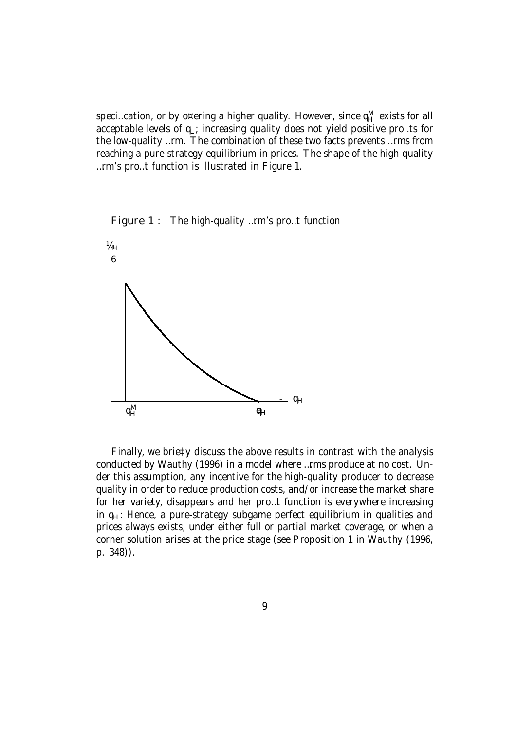speci…cation, or by o¤ering a higher quality. However, since  $\mathfrak{q}_H^\mathsf{M}$  exists for all acceptable levels of  $q_L$ ; increasing quality does not yield positive pro...ts for the low-quality …rm. The combination of these two facts prevents …rms from reaching a pure-strategy equilibrium in prices. The shape of the high-quality …rm's pro…t function is illustrated in Figure 1.





Finally, we brie‡y discuss the above results in contrast with the analysis conducted by Wauthy (1996) in a model where …rms produce at no cost. Under this assumption, any incentive for the high-quality producer to decrease quality in order to reduce production costs, and/or increase the market share for her variety, disappears and her pro…t function is everywhere increasing in  $q_H$ : Hence, a pure-strategy subgame perfect equilibrium in qualities and prices always exists, under either full or partial market coverage, or when a corner solution arises at the price stage (see Proposition 1 in Wauthy (1996, p. 348)).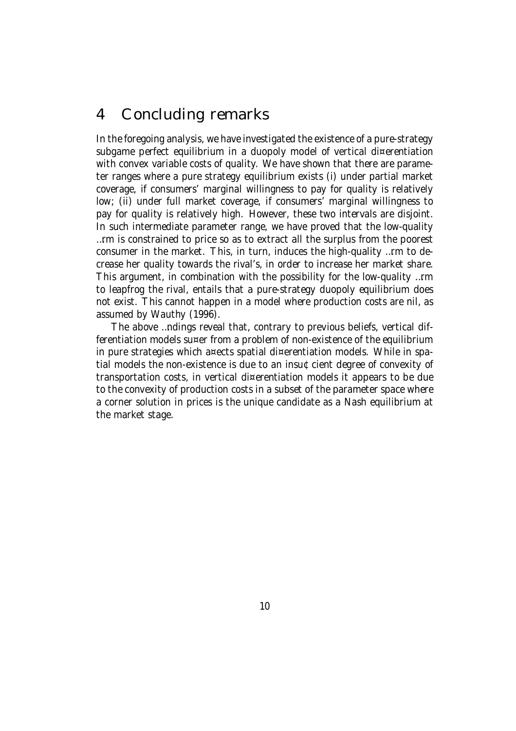# 4 Concluding remarks

In the foregoing analysis, we have investigated the existence of a pure-strategy subgame perfect equilibrium in a duopoly model of vertical di¤erentiation with convex variable costs of quality. We have shown that there are parameter ranges where a pure strategy equilibrium exists (i) under partial market coverage, if consumers' marginal willingness to pay for quality is relatively low; (ii) under full market coverage, if consumers' marginal willingness to pay for quality is relatively high. However, these two intervals are disjoint. In such intermediate parameter range, we have proved that the low-quality …rm is constrained to price so as to extract all the surplus from the poorest consumer in the market. This, in turn, induces the high-quality …rm to decrease her quality towards the rival's, in order to increase her market share. This argument, in combination with the possibility for the low-quality …rm to leapfrog the rival, entails that a pure-strategy duopoly equilibrium does not exist. This cannot happen in a model where production costs are nil, as assumed by Wauthy (1996).

The above …ndings reveal that, contrary to previous beliefs, vertical differentiation models su¤er from a problem of non-existence of the equilibrium in pure strategies which a¤ects spatial di¤erentiation models. While in spatial models the non-existence is due to an insu¢cient degree of convexity of transportation costs, in vertical di¤erentiation models it appears to be due to the convexity of production costs in a subset of the parameter space where a corner solution in prices is the unique candidate as a Nash equilibrium at the market stage.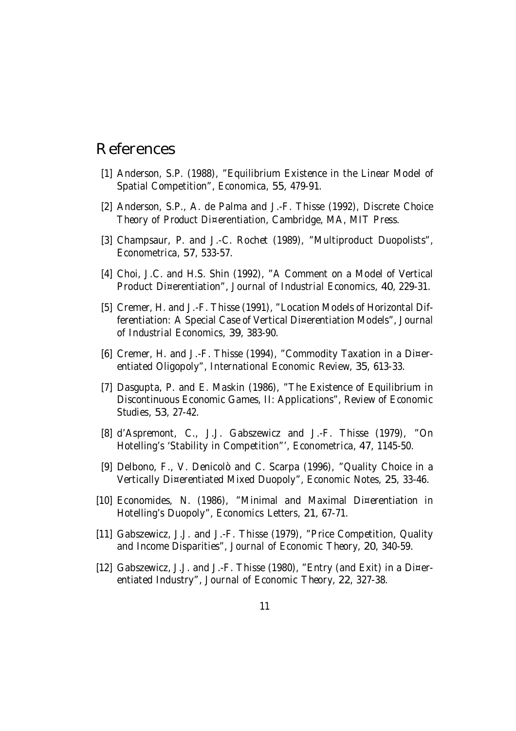## References

- [1] Anderson, S.P. (1988), "Equilibrium Existence in the Linear Model of Spatial Competition", Economica, 55, 479-91.
- [2] Anderson, S.P., A. de Palma and J.-F. Thisse (1992), Discrete Choice Theory of Product Di¤erentiation, Cambridge, MA, MIT Press.
- [3] Champsaur, P. and J.-C. Rochet (1989), "Multiproduct Duopolists", Econometrica, 57, 533-57.
- [4] Choi, J.C. and H.S. Shin (1992), "A Comment on a Model of Vertical Product Di¤erentiation", Journal of Industrial Economics, 40, 229-31.
- [5] Cremer, H. and J.-F. Thisse (1991), "Location Models of Horizontal Differentiation: A Special Case of Vertical Di¤erentiation Models", Journal of Industrial Economics, 39, 383-90.
- [6] Cremer, H. and J.-F. Thisse (1994), "Commodity Taxation in a Di¤erentiated Oligopoly", International Economic Review, 35, 613-33.
- [7] Dasgupta, P. and E. Maskin (1986), "The Existence of Equilibrium in Discontinuous Economic Games, II: Applications", Review of Economic Studies, 53, 27-42.
- [8] d'Aspremont, C., J.J. Gabszewicz and J.-F. Thisse (1979), "On Hotelling's 'Stability in Competition"', Econometrica, 47, 1145-50.
- [9] Delbono, F., V. Denicolò and C. Scarpa (1996), "Quality Choice in a Vertically Di¤erentiated Mixed Duopoly", Economic Notes, 25, 33-46.
- [10] Economides, N. (1986), "Minimal and Maximal Di¤erentiation in Hotelling's Duopoly", Economics Letters, 21, 67-71.
- [11] Gabszewicz, J.J. and J.-F. Thisse (1979), "Price Competition, Quality and Income Disparities", Journal of Economic Theory, 20, 340-59.
- [12] Gabszewicz, J.J. and J.-F. Thisse (1980), "Entry (and Exit) in a Di¤erentiated Industry", Journal of Economic Theory, 22, 327-38.